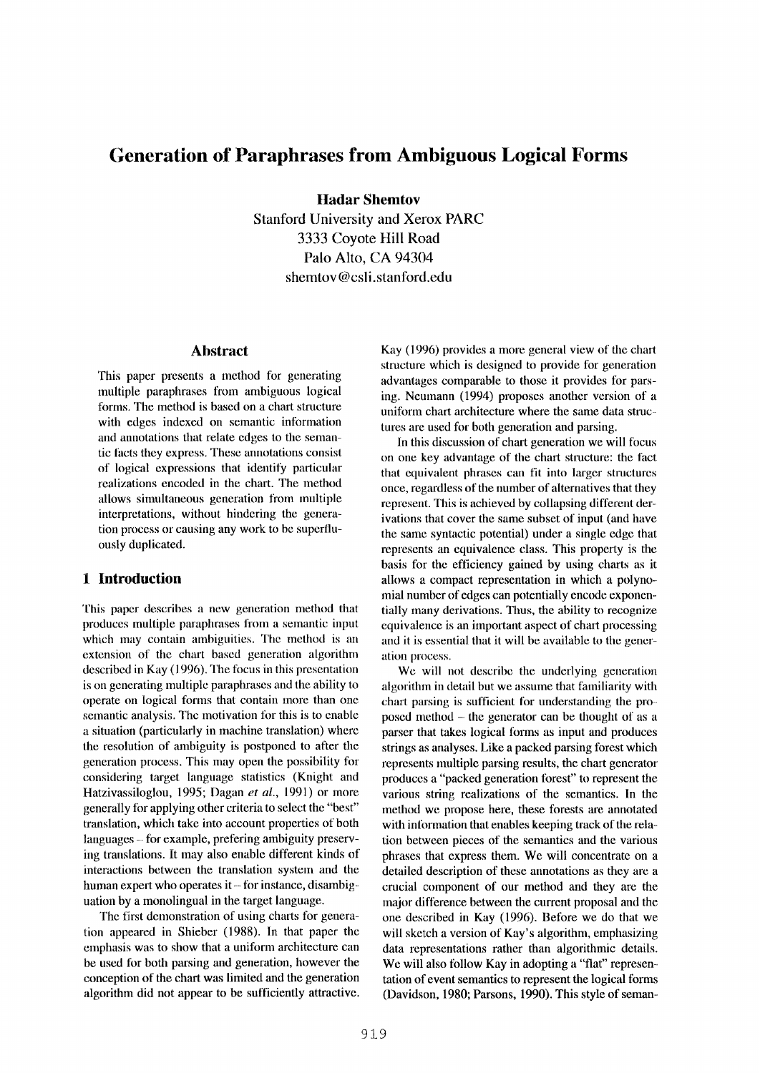# **Generation of Paraphrases from Ambiguous Logical Forms**

**Hadar Shemtov** 

Stanford University and Xerox PARC 3333 Coyote Hill Road Palo Alto, CA 94304 shemtov@csli.stanford.edu

## **Abstract**

This paper presents a method for generating multiple paraphrases from ambiguous logical forms. The method is based on a chart structure with edges indexed on semantic information and annotations that relate edges to the semantic facts they express. These annotations consist of logical expressions that identify particular realizations encoded in the chart. The method allows simultaneous generation from multiple interpretations, without hindering the generation process or causing any work to be superfluously duplicated.

# **1 Introduction**

This paper describes a new generation method that produces multiple paraphrases from a semantic input which may contain ambiguities. The method is an extension of the chart based generation algorithm described in Kay (1996). The focus in this presentation is on generating multiple paraphrases and the ability to operate on logical forms that contain more than one semantic analysis. The motivation for this is to enable a situation (particularly in machine translation) where the resolution of ambiguity is postponed to after the generation process. This may open the possibility for considering target language statistics (Knight and Hatzivassiloglou, 1995; Dagan *et al.,* 1991) or more generally for applying other criteria to select the "best" translation, which take into account properties of both languages - for example, prefering ambiguity preserving translations. It may also enable different kinds of interactions between the translation system and the human expert who operates it  $-$  for instance, disambiguation by a monolingual in the target language.

The first demonstration of using charts for generation appeared in Shieber (1988). In that paper the emphasis was to show that a uniform architecture can be used for both parsing and generation, however the conception of the chart was limited and the generation algorithm did not appear to be sufficiently attractive. Kay (1996) provides a more general view of the chart structure which is designed to provide for generation advantages comparable to those it provides for parsing. Neumann (1994) proposes another version of a uniform chart architecture where the same data structures are used for both generation and parsing.

In this discussion of chart generation we will focus on one key advantage of the chart structure: the fact that equivalent phrases can fit into larger structures once, regardless of the number of alternatives that they represent. This is achieved by collapsing different derivations that cover the same subset of input (and have the same syntactic potential) under a single edge that represents an equivalence class. This property is the basis for the efficiency gained by using charts as it allows a compact representation in which a polynomial number of edges can potentially encode exponentially many derivations. Thus, the ability to recognize equivalence is an important aspect of chart processing and it is essential that it will be available to the generation process.

We will not describe the underlying generation algorithm in detail but we assume that familiarity with chart parsing is sufficient for understanding the proposed method - the generator can be thought of as a parser that takes logical forms as input and produces strings as analyses. Like a packed parsing forest which represents nmltiple parsing results, the chart generator produces a "packed generation forest" to represent the various string realizations of the semantics. In the method we propose here, these forests are annotated with information that enables keeping track of the relation between pieces of the semantics and the various phrases that express them. We will concentrate on a detailed description of these annotations as they are a crucial component of our method and they are the major difference between the current proposal and the one described in Kay (1996). Before we do that we will sketch a version of Kay's algorithm, emphasizing data representations rather than algorithmic details. We will also follow Kay in adopting a "flat" representation of event semantics to represent the logical forms (Davidson, 1980; Parsons, 1990). This style of seman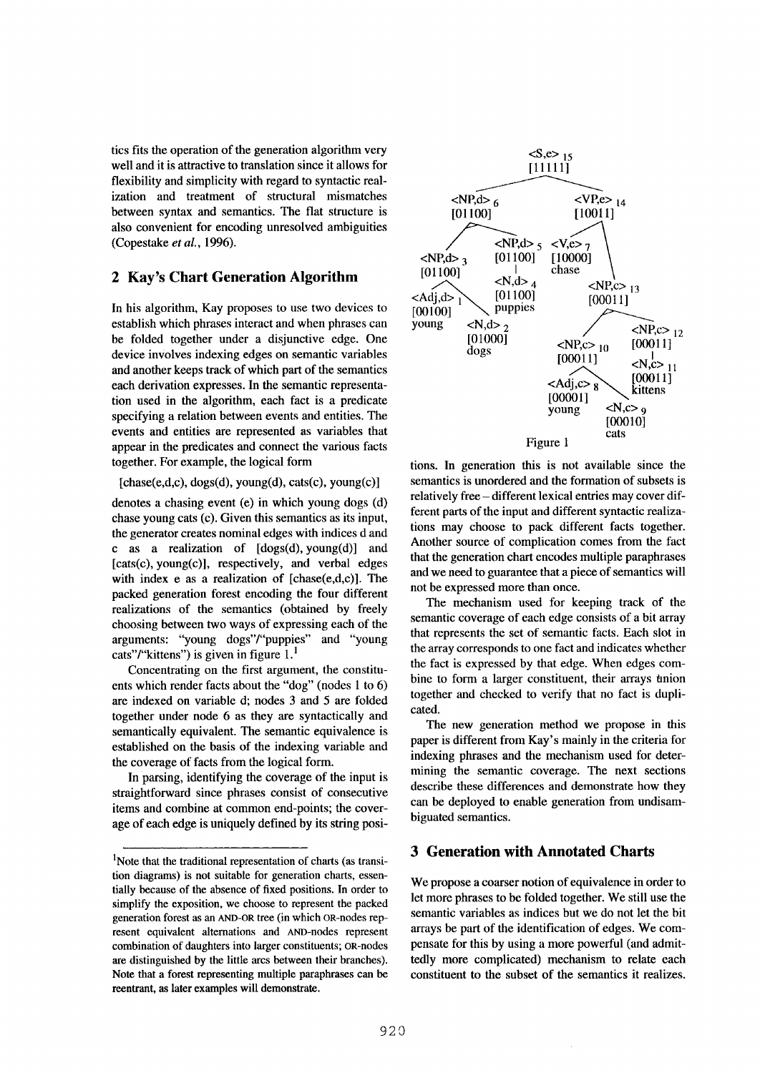tics fits the operation of the generation algorithm very well and it is attractive to translation since it allows for flexibility and simplicity with regard to syntactic realization and treatment of structural mismatches between syntax and semantics. The flat structure is also convenient for encoding unresolved ambiguities (Copestake *et al.,* 1996).

# **2 Kay's Chart Generation Algorithm**

In his algorithm, Kay proposes to use two devices to establish which phrases interact and when phrases can be folded together under a disjunctive edge. One device involves indexing edges on semantic variables and another keeps track of which part of the semantics each derivation expresses. In the semantic representation used in the algorithm, each fact is a predicate specifying a relation between events and entities. The events and entities are represented as variables that appear in the predicates and connect the various facts together. For example, the logical form

 $[chase(e,d,c), dogs(d), young(d), cats(c), young(c)]$ 

denotes a chasing event (e) in which young dogs (d) chase young cats (c). Given this semantics as its input, the generator creates nominal edges with indices d and c as a realization of  $[dogs(d), young(d)]$  and [cats(c), young(c)], respectively, and verbal edges with index e as a realization of [chase(e,d,c)]. The packed generation forest encoding the four different realizations of the semantics (obtained by freely choosing between two ways of expressing each of the arguments: "young dogs"/"puppies" and "young cats"/"kittens") is given in figure  $1<sup>1</sup>$ 

Concentrating on the first argument, the constituents which render facts about the "dog" (nodes 1 to 6) are indexed on variable d; nodes 3 and 5 are folded together under node 6 as they are syntactically and semantically equivalent. The semantic equivalence is established on the basis of the indexing variable and the coverage of facts from the logical form.

In parsing, identifying the coverage of the input is straightforward since phrases consist of consecutive items and combine at common end-points; the coverage of each edge is uniquely defined by its string posi-



tions. In generation this is not available since the semantics is unordered and the formation of subsets is relatively free- different lexical entries may cover different parts of the input and different syntactic realizations may choose to pack different facts together. Another source of complication comes from the fact that the generation chart encodes multiple paraphrases and we need to guarantee that a piece of semantics will not be expressed more than once.

The mechanism used for keeping track of the semantic coverage of each edge consists of a bit array that represents the set of semantic facts. Each slot in the array corresponds to one fact and indicates whether the fact is expressed by that edge. When edges combine to form a larger constituent, their arrays union together and checked to verify that no fact is duplicated.

The new generation method we propose in this paper is different from Kay's mainly in the criteria for indexing phrases and the mechanism used for determining the semantic coverage. The next sections describe these differences and demonstrate how they can be deployed to enable generation from undisambiguated semantics.

# **3 Generation with Annotated Charts**

We propose a coarser notion of equivalence in order to let more phrases to be folded together. We still use the semantic variables as indices but we do not let the bit arrays be part of the identification of edges. We compensate for this by using a more powerful (and admittedly more complicated) mechanism to relate each constituent to the subset of the semantics it realizes.

<sup>&</sup>lt;sup>1</sup>Note that the traditional representation of charts (as transition diagrams) is not suitable for generation charts, essentially because of the absence of fixed positions. In order to simplify the exposition, we choose to represent the packed generation forest as an AND-0R tree (in which OR-nodes represent equivalent alternations and AND-nodes represent combination of daughters into larger constituents; OR-nodes are distinguished by the little arcs between their branches). Note that a forest representing multiple paraphrases can be reentrant, as later examples will demonstrate.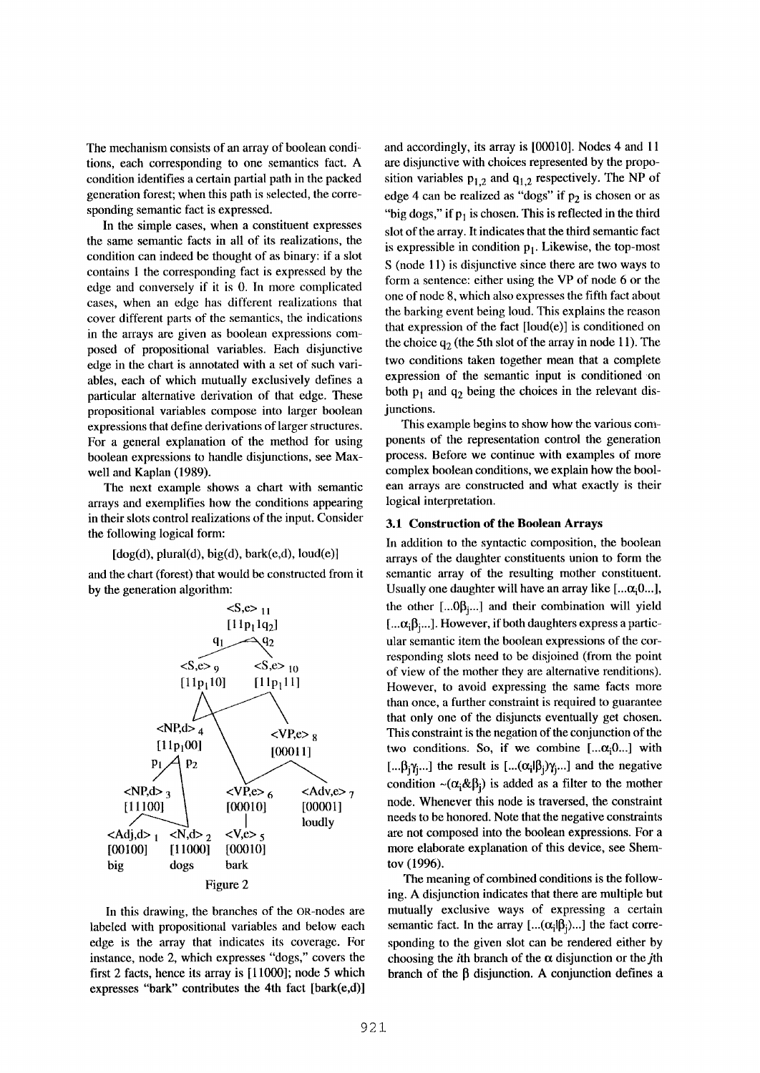The mechanism consists of an array of boolean conditions, each corresponding to one semantics fact. A condition identifies a certain partial path in the packed generation forest; when this path is selected, the corresponding semantic fact is expressed.

In the simple cases, when a constituent expresses the same semantic facts in all of its realizations, the condition can indeed be thought of as binary: if a slot contains 1 the corresponding fact is expressed by the edge and conversely if it is 0. In more complicated cases, when an edge has different realizations that cover different parts of the semantics, the indications in the arrays are given as boolean expressions composed of propositional variables. Each disjunctive edge in the chart is annotated with a set of such variables, each of which mutually exclusively defines a particular alternative derivation of that edge. These propositional variables compose into larger boolean expressions that define derivations of larger structures. For a general explanation of the method for using boolean expressions to handle disjunctions, see Maxwell and Kaplan (1989).

The next example shows a chart with semantic arrays and exemplifies how the conditions appearing in their slots control realizations of the input. Consider the following logical form:

#### $[dog(d), plural(d), big(d), bark(e,d), loud(e)]$

and the chart (forest) that would be constructed from it by the generation algorithm:



In this drawing, the branches of the OR-nodes are labeled with propositional variables and below each edge is the array that indicates its coverage. For instance, node 2, which expresses "dogs," covers the first 2 facts, hence its array is [11000]; node 5 which expresses "bark" contributes the 4th fact [bark(e,d)] and accordingly, its array is [00010]. Nodes 4 and 11 are disjunctive with choices represented by the proposition variables  $p_{1,2}$  and  $q_{1,2}$  respectively. The NP of edge 4 can be realized as "dogs" if  $p_2$  is chosen or as "big dogs," if  $p_1$  is chosen. This is reflected in the third slot of the array. It indicates that the third semantic fact is expressible in condition  $p_1$ . Likewise, the top-most S (node 11) is disjunctive since there are two ways to form a sentence: either using the VP of node 6 or the one of node 8, which also expresses the fifth fact about the barking event being loud. This explains the reason that expression of the fact  $[$ loud $(e)]$  is conditioned on the choice  $q_2$  (the 5th slot of the array in node 11). The two conditions taken together mean that a complete expression of the semantic input is conditioned on both  $p_1$  and  $q_2$  being the choices in the relevant disjunctions.

This example begins to show how the various components of the representation control the generation process. Before we continue with examples of more complex boolean conditions, we explain how the boolean arrays are constructed and what exactly is their logical interpretation.

#### 3.1 Construction of the Boolean Arrays

In addition to the syntactic composition, the boolean arrays of the daughter constituents union to form the semantic array of the resulting mother constituent. Usually one daughter will have an array like  $[... \alpha_i 0...]$ , the other  $[...0\beta_{j}...]$  and their combination will yield  $[... \alpha_i \beta_i...]$ . However, if both daughters express a particular semantic item the boolean expressions of the corresponding slots need to be disjoined (from the point of view of the mother they are alternative renditions). However, to avoid expressing the same facts more than once, a further constraint is required to guarantee that only one of the disjuncts eventually get chosen. This constraint is the negation of the conjunction of the two conditions. So, if we combine  $[... \alpha_i 0...]$  with [... $\beta_i \gamma_i$ ...] the result is [... $(\alpha_i | \beta_i) \gamma_i$ ...] and the negative condition  $\sim (\alpha_i \& \beta_i)$  is added as a filter to the mother node. Whenever this node is traversed, the constraint needs to be honored. Note that the negative constraints are not composed into the boolean expressions. For a more elaborate explanation of this device, see Shemtov (1996).

The meaning of combined conditions is the following. A disjunction indicates that there are multiple but mutually exclusive ways of expressing a certain semantic fact. In the array  $[...(\alpha_i|\beta_i)...]$  the fact corresponding to the given slot can be rendered either by choosing the *i*th branch of the  $\alpha$  disjunction or the *j*th branch of the  $\beta$  disjunction. A conjunction defines a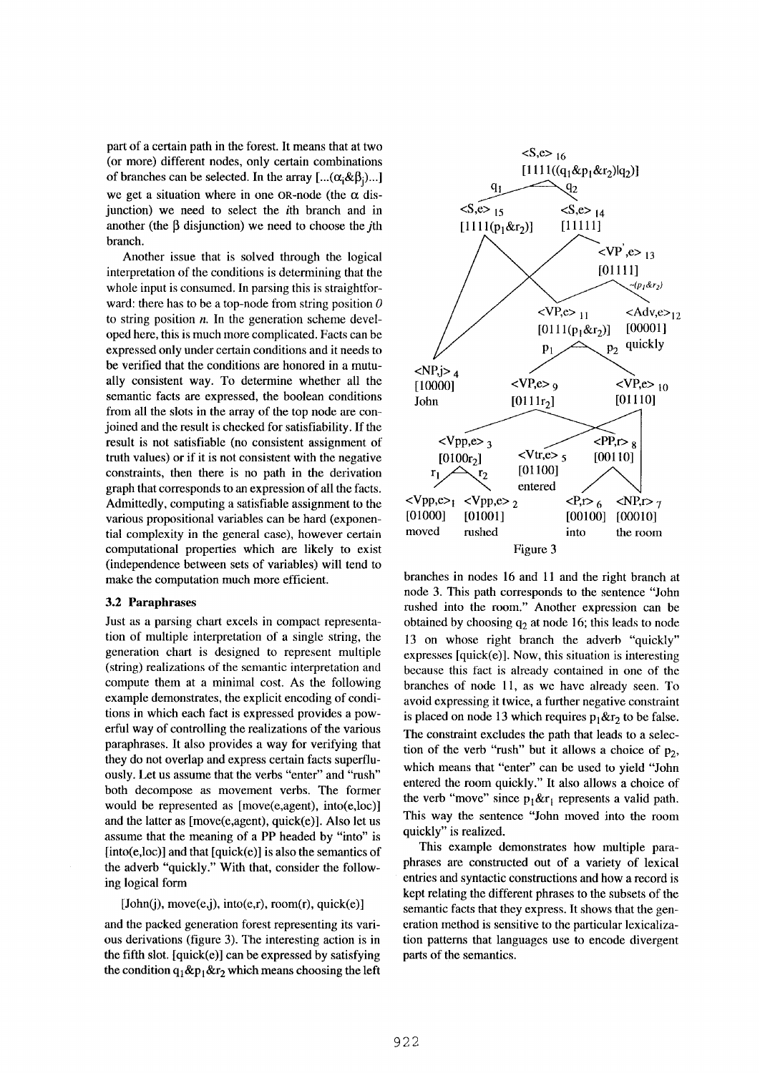part of a certain path in the forest. It means that at two (or more) different nodes, only certain combinations of branches can be selected. In the array  $[\dots(\alpha_i \& \beta_j) \dots]$ we get a situation where in one OR-node (the  $\alpha$  disjunction) we need to select the ith branch and in another (the  $\beta$  disjunction) we need to choose the *i*th branch.

Another issue that is solved through the logical interpretation of the conditions is determining that the whole input is consumed. In parsing this is straightforward: there has to be a top-node from string position  $\theta$ to string position  $n$ . In the generation scheme developed here, this is much more complicated. Facts can be expressed only under certain conditions and it needs to be verified that the conditions are honored in a mutually consistent way. To determine whether all the semantic facts are expressed, the boolean conditions from all the slots in the array of the top node are conjoined and the result is checked for satisfiability. If the result is not satisfiable (no consistent assignment of truth values) or if it is not consistent with the negative constraints, then there is no path in the derivation graph that corresponds to an expression of all the facts. Admittedly, computing a satisfiable assignment to the various propositional variables can be hard (exponential complexity in the general case), however certain computational properties which are likely to exist (independence between sets of variables) will tend to make the computation much more efficient.

#### **3.2 Paraphrases**

Just as a parsing chart excels in compact representation of multiple interpretation of a single string, the generation chart is designed to represent multiple (string) realizations of the semantic interpretation and compute them at a minimal cost. As the following example demonstrates, the explicit encoding of conditions in which each fact is expressed provides a powerful way of controlling the realizations of the various paraphrases. It also provides a way for verifying that they do not overlap and express certain facts superfluously. Let us assume that the verbs "enter" and "rush" both decompose as movement verbs. The former would be represented as [move(e,agent), into(e,loc)] and the latter as [move(e,agent), quick(e)]. Also let us assume that the meaning of a PP headed by "into" is  $[into(e,loc)]$  and that  $[quick(e)]$  is also the semantics of the adverb "quickly." With that, consider the following logical form

#### $[John(j), move(e,j), into(e,r), room(r), quick(e)]$

and the packed generation forest representing its various derivations (figure 3). The interesting action is in the fifth slot.  $[quick(e)]$  can be expressed by satisfying the condition  $q_1 \& p_1 \& r_2$  which means choosing the left



branches in nodes 16 and 11 and the right branch at node 3. This path corresponds to the sentence "John rushed into the room." Another expression can be obtained by choosing  $q_2$  at node 16; this leads to node 13 on whose right branch the adverb "quickly" expresses [quick(e)]. Now, this situation is interesting because this fact is already contained in one of the branches of node 11, as we have already seen. To avoid expressing it twice, a further negative constraint is placed on node 13 which requires  $p_1 \& r_2$  to be false. The constraint excludes the path that leads to a selection of the verb "rush" but it allows a choice of  $p_2$ , which means that "enter" can be used to yield "John entered the room quickly." It also allows a choice of the verb "move" since  $p_1 \&r_1$  represents a valid path. This way the sentence "John moved into the room quickly" is realized.

This example demonstrates how multiple paraphrases are constructed out of a variety of lexical entries and syntactic constructions and how a record is kept relating the different phrases to the subsets of the semantic facts that they express, it shows that the generation method is sensitive to the particular lexicalization patterns that languages use to encode divergent parts of the semantics.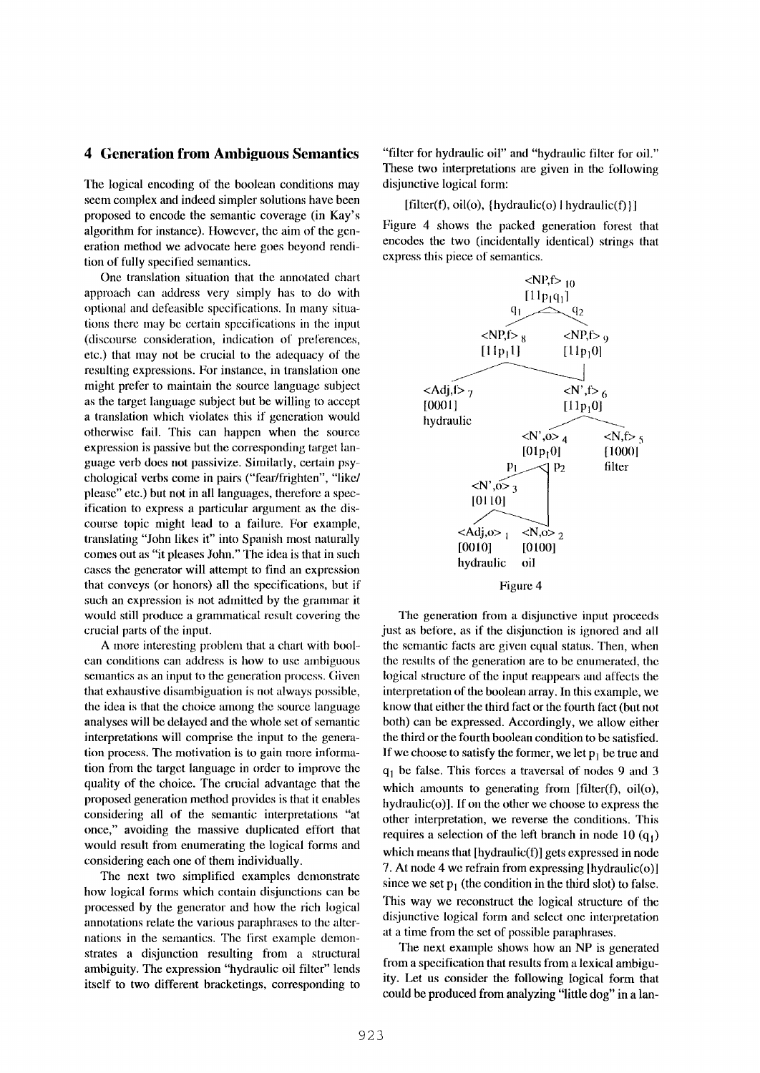#### **4 Generation from Ambiguous Semantics**

The logical encoding of the boolean conditions may seem complex and indeed simpler solutions have been proposed to encode the semantic coverage (in Kay's algorithm for instance). However, the aim of the generation method we advocate here goes beyond rendition of fully specified semantics.

One translation situation that the annotated chart approach can address very simply has to do with optional and defeasible specifications. In many situations there may be certain specifications in the input (discourse consideration, indication of preferences, etc.) that may not be crucial to the adequacy of the resulting expressions. For instance, in translation one might prefer to maintain the source language subject as the target language subject but be willing to accept a translation which violates this if generation would otherwise fail. This can happen when the source expression is passive but the corresponding target language verb does not passivize. Similarly, certain psychological verbs come in pairs ("fear/frighten", "like/ please" etc.) but not in all languages, therefore a specification to express a particular argument as the discourse topic might lead to a failure. For example, translating "John likes it" into Spanish most naturally comes out as "it pleases John." The idea is that in such cases the generator will attempt to find an expression that conveys (or honors) all the specifications, but if such an expression is not admitted by the grammar it would still produce a grammatical result covering the crucial parts of the input.

A more interesting problem that a chart with boor can conditions can address is how to use ambiguous semantics as an input to the generation process. Given that exhaustive disambiguation is not always possible, the idea is that the choice among the source language analyses will be delayed and the whole set of semantic interpretations will comprise the input to the generation process. The motivation is to gain more information from the target language in order to improve the quality of the choice. The crucial advantage that the proposed generation method provides is that it enables considering all of the semantic interpretations *"at*  once," avoiding the massive duplicated effort that would result from enumerating the logical forms and considering each one of them individually.

The next two simplified examples demonstrate how logical forms which contain disjunctions can be processed by the generator and how the rich logical annotations relate the various paraphrases to the alternations in the semantics. The first example demonstrates a disjunction resulting from a structural ambiguity. The expression "hydraulic oil filter" lends itself to two different bracketings, corresponding to

"filter for hydraulic oil" and "hydraulic filter for oil." These two interpretations are given in the following disjunctive logical form:

 $[filter(f), oil(o), \{hydraulic(o) | hydrodraulic(f)\}]$ 

Figure 4 shows the packed generation forest that encodes the two (incidentally identical) strings that express this piece of semantics.



The generation from a disjunctive input proceeds just as before, as if the disjunction is ignored and all the semantic facts are given equal status. Then, when the results of the generation are to be enumerated, the logical structure of the input reappears and affects the interpretation of the boolean array. In this example, we know that either the third fact or the fourth fact (but not both) can be expressed. Accordingly, we allow either the third or the fourth boolean condition to be satisfied. If we choose to satisfy the former, we let  $p_1$  be true and  $q_1$  be false. This forces a traversal of nodes 9 and 3 which amounts to generating from [filter(f), oil(o), hydraulic( $o$ ). If on the other we choose to express the other interpretation, we reverse the conditions. This requires a selection of the left branch in node 10  $(q_1)$ which means that [hydraulic(f)] gets expressed in node 7. At node 4 we refrain from expressing [hydranlic(o)] since we set  $p_1$  (the condition in the third slot) to false. This way we reconstruct the logical structure of the disjunctive logical form and select one interpretation at a time from the set of possible paraphrases.

The next example shows how an NP is generated from a specification that results from a lexical ambiguity. Let us consider the following logical form that could be produced from analyzing "little dog" in a lan